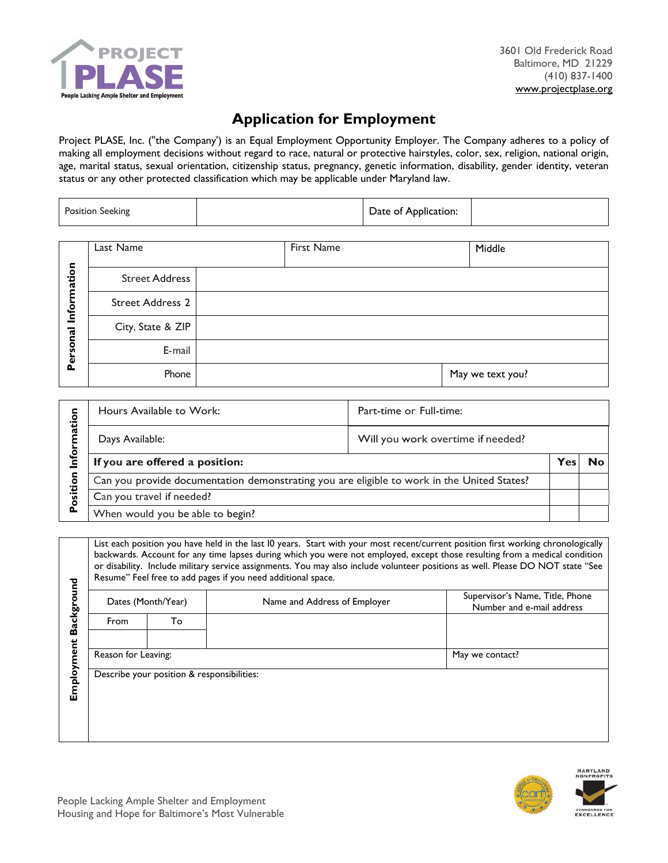

## **Application for Employment**

Project PLASE, Inc. ("the Company') is an Equal Employment Opportunity Employer. The Company adheres to a policy of making all employment decisions without regard to race, natural or protective hairstyles, color, sex, religion, national origin, age, marital status, sexual orientation, citizenship status, pregnancy, genetic information, disability, gender identity, veteran status or any other protected classification which may be applicable under Maryland law.

Position Seeking **Position**: **Position**: **Date of Application:** 

|                                   | Last Name               |  | First Name | Middle           |
|-----------------------------------|-------------------------|--|------------|------------------|
| mation<br><b>Loto</b><br>Personal |                         |  |            |                  |
|                                   | <b>Street Address</b>   |  |            |                  |
|                                   | <b>Street Address 2</b> |  |            |                  |
|                                   | City, State & ZIP       |  |            |                  |
|                                   | E-mail                  |  |            |                  |
|                                   | Phone                   |  |            | May we text you? |

| ation<br>nfor<br>Position | Hours Available to Work:                                                                   | Part-time or Full-time: |  |  |  |
|---------------------------|--------------------------------------------------------------------------------------------|-------------------------|--|--|--|
|                           | Will you work overtime if needed?<br>Days Available:                                       |                         |  |  |  |
|                           | If you are offered a position:                                                             |                         |  |  |  |
|                           | Can you provide documentation demonstrating you are eligible to work in the United States? |                         |  |  |  |
|                           | Can you travel if needed?                                                                  |                         |  |  |  |
|                           | When would you be able to begin?                                                           |                         |  |  |  |

List each position you have held in the last I0 years. Start with your most recent/current position first working chronologically backwards. Account for any time lapses during which you were not employed, except those resulting from a medical condition or disability. Include military service assignments. You may also include volunteer positions as well. Please DO NOT state "See Resume" Feel free to add pages if you need additional space.

|                         | Dates (Month/Year)                         |    | Name and Address of Employer | Supervisor's Name, Title, Phone<br>Number and e-mail address |  |
|-------------------------|--------------------------------------------|----|------------------------------|--------------------------------------------------------------|--|
| Backgro<br>ä<br>Employr | From                                       | To |                              |                                                              |  |
|                         | Reason for Leaving:                        |    |                              | May we contact?                                              |  |
|                         | Describe your position & responsibilities: |    |                              |                                                              |  |



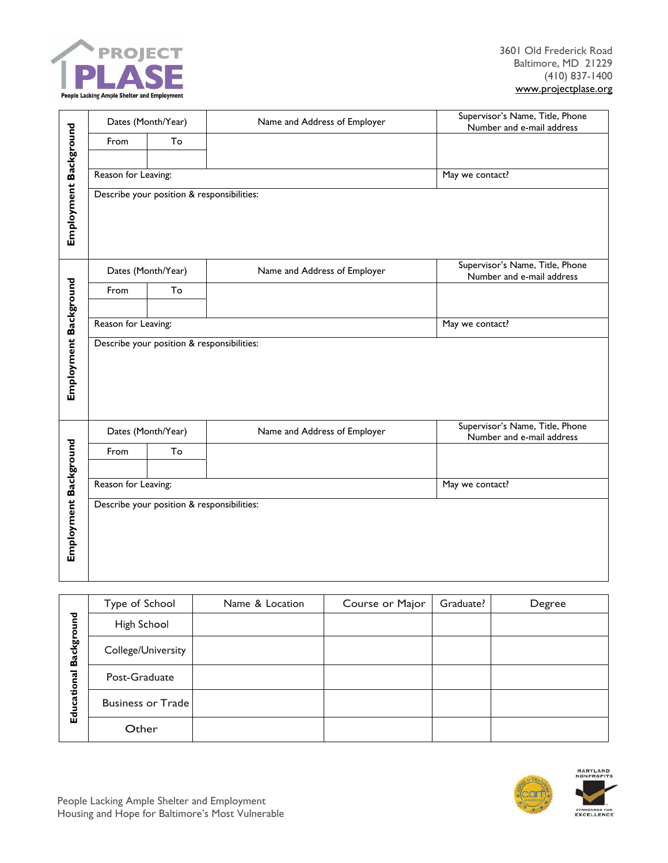

|                       | Dates (Month/Year)  |                    | Name and Address of Employer               |                 |                 | Supervisor's Name, Title, Phone<br>Number and e-mail address |
|-----------------------|---------------------|--------------------|--------------------------------------------|-----------------|-----------------|--------------------------------------------------------------|
|                       | From                | To                 |                                            |                 |                 |                                                              |
|                       | Reason for Leaving: |                    |                                            |                 | May we contact? |                                                              |
| Employment Background |                     |                    | Describe your position & responsibilities: |                 |                 |                                                              |
|                       |                     | Dates (Month/Year) | Name and Address of Employer               |                 |                 | Supervisor's Name, Title, Phone<br>Number and e-mail address |
|                       | From                | To                 |                                            |                 |                 |                                                              |
|                       | Reason for Leaving: |                    |                                            |                 | May we contact? |                                                              |
| Employment Background |                     |                    | Describe your position & responsibilities: |                 |                 |                                                              |
|                       |                     | Dates (Month/Year) | Name and Address of Employer               |                 |                 | Supervisor's Name, Title, Phone<br>Number and e-mail address |
|                       | From                | To                 |                                            |                 |                 |                                                              |
|                       | Reason for Leaving: |                    |                                            |                 | May we contact? |                                                              |
| Employment Background |                     |                    | Describe your position & responsibilities: |                 |                 |                                                              |
|                       | Type of School      |                    | Name & Location                            | Course or Major | Graduate?       | Degree                                                       |

|                                          | Type of School           | Name & Location | Course or Major | Graduate? | Degree |
|------------------------------------------|--------------------------|-----------------|-----------------|-----------|--------|
| 짇<br>5<br><b>Backgrou</b><br>Educational | High School              |                 |                 |           |        |
|                                          | College/University       |                 |                 |           |        |
|                                          | Post-Graduate            |                 |                 |           |        |
|                                          | <b>Business or Trade</b> |                 |                 |           |        |
|                                          | Other                    |                 |                 |           |        |